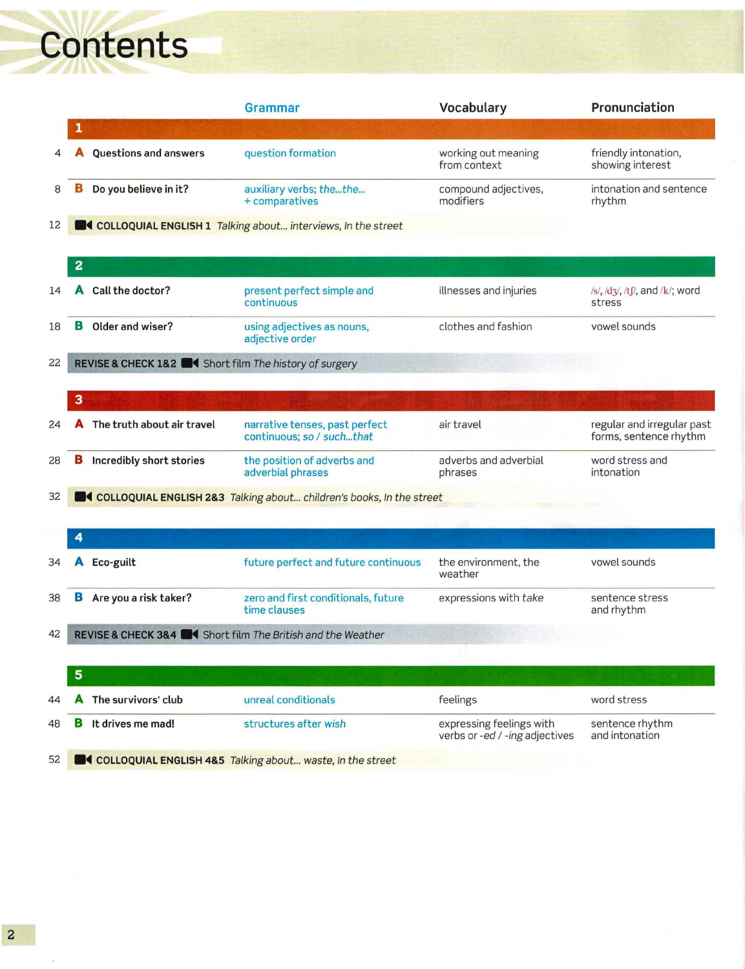## Contents

|    |                |                                                                 | <b>Grammar</b>                                                        | Vocabulary                                                 | Pronunciation                                        |
|----|----------------|-----------------------------------------------------------------|-----------------------------------------------------------------------|------------------------------------------------------------|------------------------------------------------------|
|    |                |                                                                 |                                                                       |                                                            |                                                      |
|    |                | <b>Questions and answers</b>                                    | question formation                                                    | working out meaning<br>from context                        | friendly intonation,<br>showing interest             |
| 8  | в              | Do you believe in it?                                           | auxiliary verbs; thethe<br>+ comparatives                             | compound adjectives,<br>modifiers                          | intonation and sentence<br>rhythm                    |
| 12 |                |                                                                 | <b>COLLOQUIAL ENGLISH 1</b> Talking about interviews, In the street   |                                                            |                                                      |
|    | $\overline{a}$ |                                                                 |                                                                       |                                                            |                                                      |
| 14 |                | Call the doctor?                                                | present perfect simple and<br>continuous                              | illnesses and injuries                                     | /s/, /dʒ/, /tʃ/, and /k/; word<br>stress             |
| 18 | в              | Older and wiser?                                                | using adjectives as nouns,<br>adjective order                         | clothes and fashion                                        | vowel sounds                                         |
| 22 |                | REVISE & CHECK 1&2 <b>EXA</b> Short film The history of surgery |                                                                       |                                                            |                                                      |
|    | 3              |                                                                 |                                                                       |                                                            |                                                      |
| 24 |                | The truth about air travel                                      | narrative tenses, past perfect<br>continuous; so / suchthat           | air travel                                                 | regular and irregular past<br>forms, sentence rhythm |
| 28 | в              | Incredibly short stories                                        | the position of adverbs and<br>adverbial phrases                      | adverbs and adverbial<br>phrases                           | word stress and<br>intonation                        |
| 32 |                |                                                                 | COLLOQUIAL ENGLISH 2&3 Talking about children's books, In the street  |                                                            |                                                      |
|    |                |                                                                 |                                                                       |                                                            |                                                      |
|    | 4              |                                                                 |                                                                       |                                                            |                                                      |
| 34 |                | Eco-guilt                                                       | future perfect and future continuous                                  | the environment, the<br>weather                            | vowel sounds                                         |
| 38 | в              | Are you a risk taker?                                           | zero and first conditionals, future<br>time clauses                   | expressions with take                                      | sentence stress<br>and rhythm                        |
| 42 |                |                                                                 | REVISE & CHECK 3&4 <b>EXAM</b> Short film The British and the Weather |                                                            |                                                      |
|    |                |                                                                 |                                                                       |                                                            |                                                      |
|    | 5              |                                                                 |                                                                       |                                                            |                                                      |
| 44 |                | The survivors' club                                             | unreal conditionals                                                   | feelings                                                   | word stress                                          |
| 48 |                | It drives me mad!                                               | structures after wish                                                 | expressing feelings with<br>verbs or -ed / -ing adjectives | sentence rhythm<br>and intonation                    |
| 52 |                |                                                                 | <b>COLLOQUIAL ENGLISH 48.5</b> Talking about waste, In the street     |                                                            |                                                      |